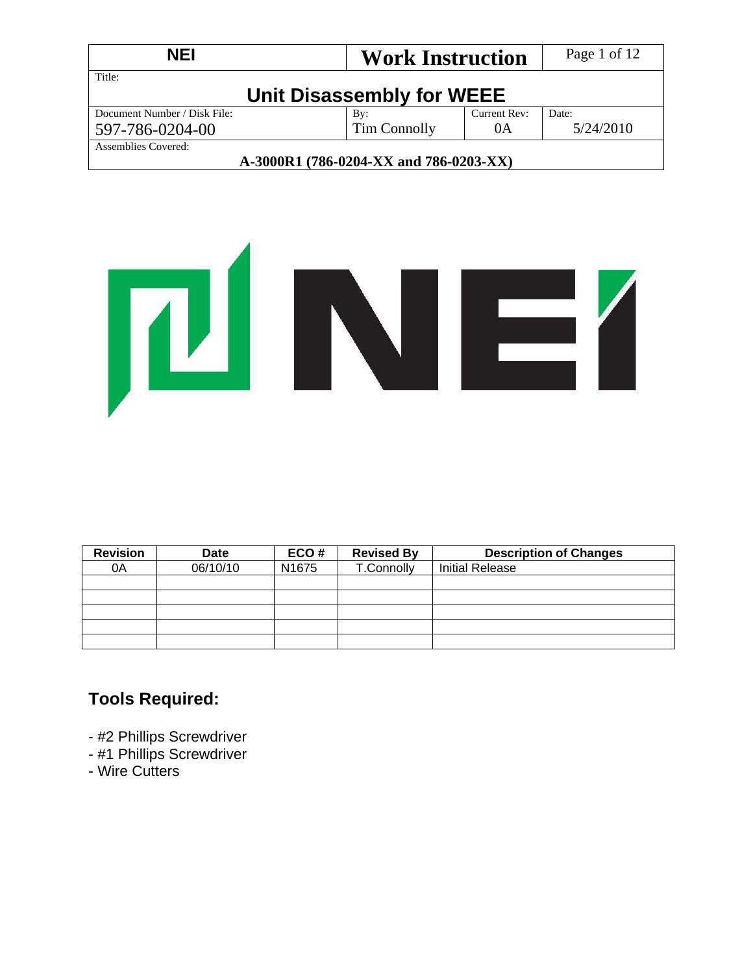| <b>NEI</b><br><b>Work Instruction</b>  |                           | Page 1 of 12 |           |  |
|----------------------------------------|---------------------------|--------------|-----------|--|
| Title:                                 | Unit Disassembly for WEEE |              |           |  |
| Document Number / Disk File:           | By:                       | Current Rev: | Date:     |  |
| Tim Connolly<br>0A<br>597-786-0204-00  |                           |              | 5/24/2010 |  |
| Assemblies Covered:                    |                           |              |           |  |
| A-3000R1 (786-0204-XX and 786-0203-XX) |                           |              |           |  |

# **TENE**

| <b>Revision</b> | <b>Date</b> | ECO#              | <b>Revised By</b> | <b>Description of Changes</b> |
|-----------------|-------------|-------------------|-------------------|-------------------------------|
| 0A              | 06/10/10    | N <sub>1675</sub> | T.Connolly        | <b>Initial Release</b>        |
|                 |             |                   |                   |                               |
|                 |             |                   |                   |                               |
|                 |             |                   |                   |                               |
|                 |             |                   |                   |                               |
|                 |             |                   |                   |                               |

# **Tools Required:**

- #2 Phillips Screwdriver
- #1 Phillips Screwdriver
- Wire Cutters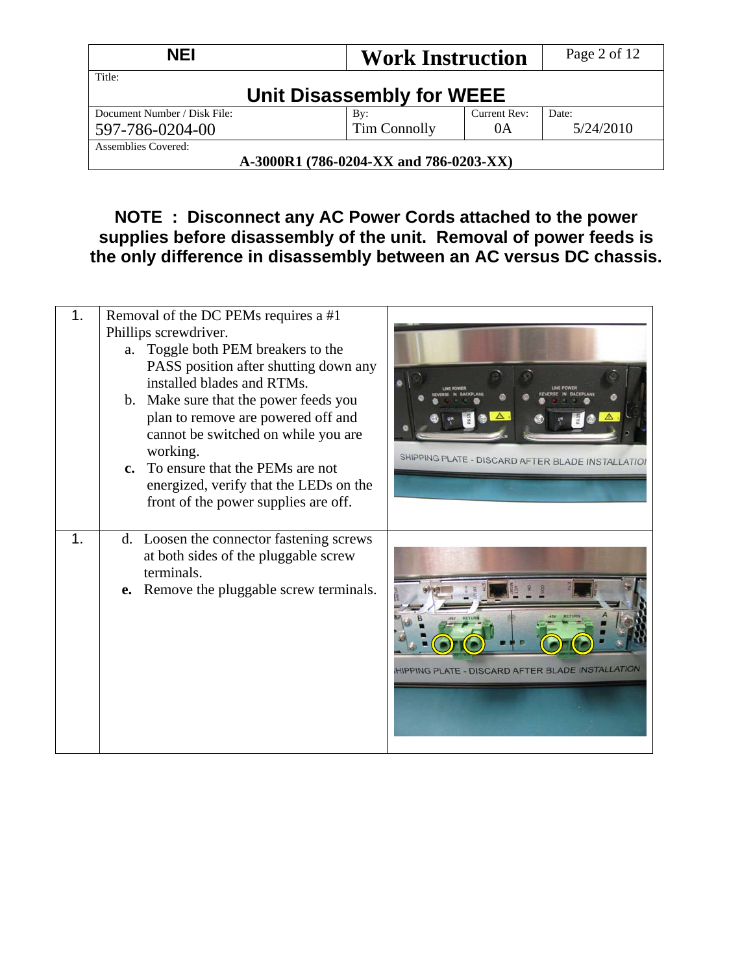| <b>NEI</b><br><b>Work Instruction</b> |                                        | Page 2 of 12 |       |
|---------------------------------------|----------------------------------------|--------------|-------|
| Title:                                | Unit Disassembly for WEEE              |              |       |
| Document Number / Disk File:          | By:                                    | Current Rev: | Date: |
| 597-786-0204-00                       | 5/24/2010                              |              |       |
| Assemblies Covered:                   |                                        |              |       |
|                                       | A-3000R1 (786-0204-XX and 786-0203-XX) |              |       |

## **NOTE : Disconnect any AC Power Cords attached to the power supplies before disassembly of the unit. Removal of power feeds is the only difference in disassembly between an AC versus DC chassis.**

| 1. | Removal of the DC PEMs requires a #1<br>Phillips screwdriver.<br>a. Toggle both PEM breakers to the<br>PASS position after shutting down any<br>installed blades and RTMs.<br>b. Make sure that the power feeds you<br>plan to remove are powered off and<br>cannot be switched on while you are<br>working.<br>c. To ensure that the PEMs are not<br>energized, verify that the LEDs on the<br>front of the power supplies are off. | SHIPPING PLATE - DISCARD AFTER BLADE INSTALLATION |
|----|--------------------------------------------------------------------------------------------------------------------------------------------------------------------------------------------------------------------------------------------------------------------------------------------------------------------------------------------------------------------------------------------------------------------------------------|---------------------------------------------------|
| 1. | d. Loosen the connector fastening screws<br>at both sides of the pluggable screw<br>terminals.<br><b>e.</b> Remove the pluggable screw terminals.                                                                                                                                                                                                                                                                                    | HIPPING PLATE - DISCARD AFTER BLADE INSTALLATION  |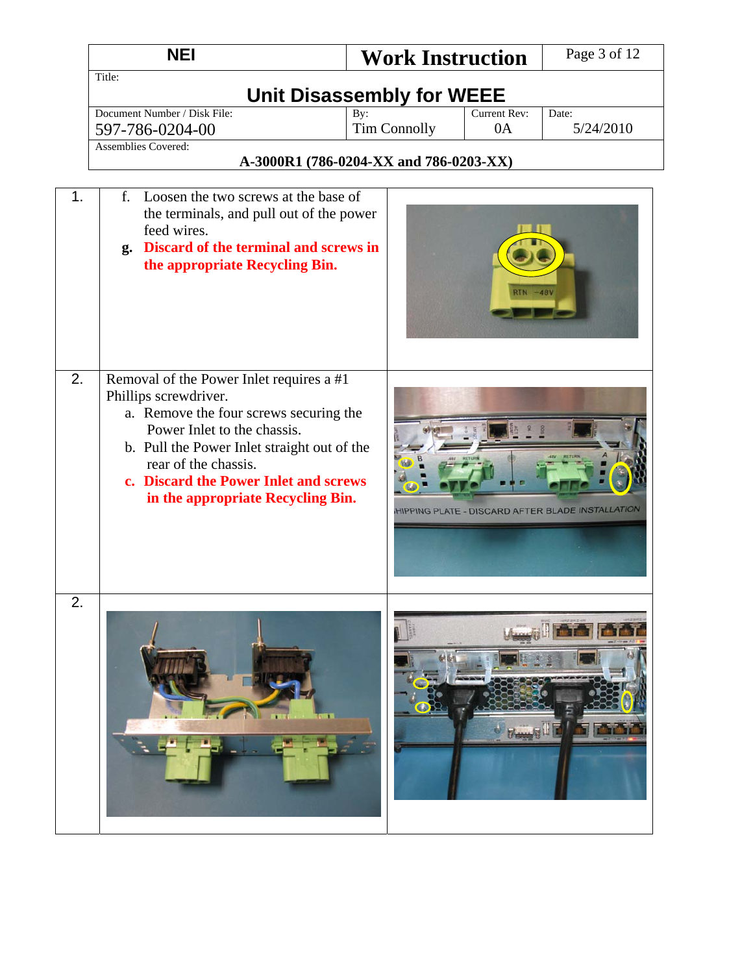|                  | <b>NEI</b>                                                                                                                                                                                                                                                                                      | <b>Work Instruction</b>                |                           | Page 3 of 12                                     |  |
|------------------|-------------------------------------------------------------------------------------------------------------------------------------------------------------------------------------------------------------------------------------------------------------------------------------------------|----------------------------------------|---------------------------|--------------------------------------------------|--|
|                  | Title:<br><b>Unit Disassembly for WEEE</b>                                                                                                                                                                                                                                                      |                                        |                           |                                                  |  |
|                  | Document Number / Disk File:<br>597-786-0204-00<br><b>Assemblies Covered:</b>                                                                                                                                                                                                                   | By:<br><b>Tim Connolly</b>             | <b>Current Rev:</b><br>0A | Date:<br>5/24/2010                               |  |
|                  |                                                                                                                                                                                                                                                                                                 | A-3000R1 (786-0204-XX and 786-0203-XX) |                           |                                                  |  |
| 1.               | f.<br>Loosen the two screws at the base of<br>the terminals, and pull out of the power<br>feed wires.<br>g. Discard of the terminal and screws in<br>the appropriate Recycling Bin.                                                                                                             |                                        | <b>RTN</b> -48V           |                                                  |  |
| 2.               | Removal of the Power Inlet requires a #1<br>Phillips screwdriver.<br>a. Remove the four screws securing the<br>Power Inlet to the chassis.<br>b. Pull the Power Inlet straight out of the<br>rear of the chassis.<br>c. Discard the Power Inlet and screws<br>in the appropriate Recycling Bin. |                                        |                           | HIPPING PLATE - DISCARD AFTER BLADE INSTALLATION |  |
| $\overline{2}$ . |                                                                                                                                                                                                                                                                                                 |                                        |                           |                                                  |  |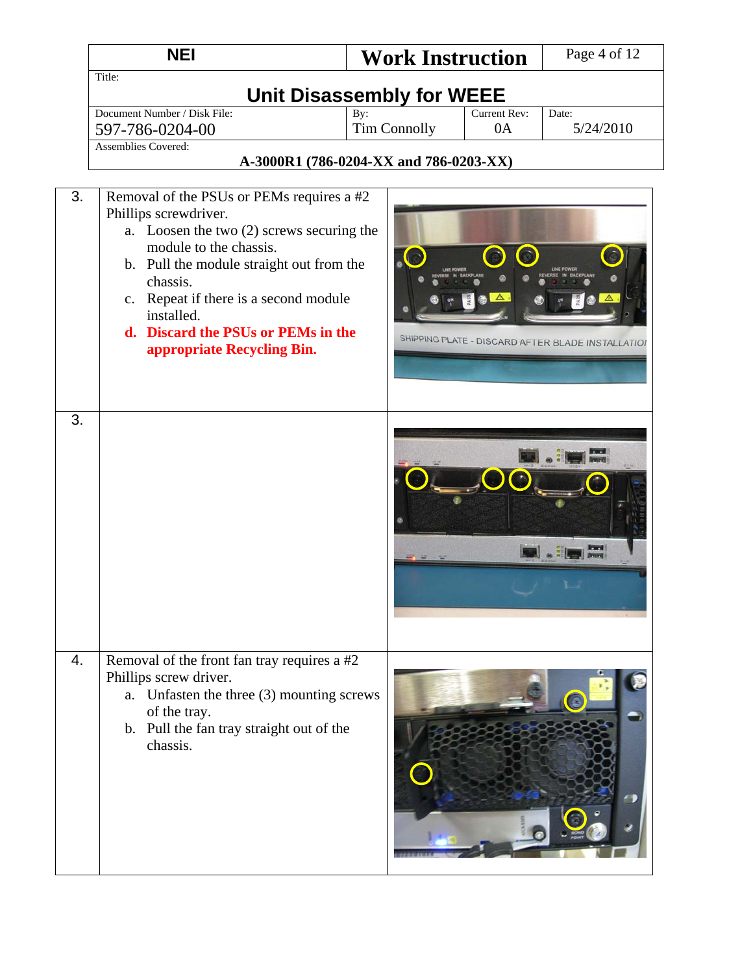|    | <b>NEI</b>                                                                                                                                                                                                                                                                                                                   | <b>Work Instruction</b>                                              |                    | Page 4 of 12                                      |  |
|----|------------------------------------------------------------------------------------------------------------------------------------------------------------------------------------------------------------------------------------------------------------------------------------------------------------------------------|----------------------------------------------------------------------|--------------------|---------------------------------------------------|--|
|    | Title:<br><b>Unit Disassembly for WEEE</b>                                                                                                                                                                                                                                                                                   |                                                                      |                    |                                                   |  |
|    | Document Number / Disk File:<br>597-786-0204-00<br><b>Assemblies Covered:</b>                                                                                                                                                                                                                                                | By:<br><b>Tim Connolly</b><br>A-3000R1 (786-0204-XX and 786-0203-XX) | Current Rev:<br>0A | Date:<br>5/24/2010                                |  |
| 3. | Removal of the PSUs or PEMs requires a #2<br>Phillips screwdriver.<br>a. Loosen the two (2) screws securing the<br>module to the chassis.<br>b. Pull the module straight out from the<br>chassis.<br>c. Repeat if there is a second module<br>installed.<br>d. Discard the PSUs or PEMs in the<br>appropriate Recycling Bin. |                                                                      |                    | SHIPPING PLATE - DISCARD AFTER BLADE INSTALLATION |  |
| 3. |                                                                                                                                                                                                                                                                                                                              |                                                                      |                    | 鷗                                                 |  |
| 4. | Removal of the front fan tray requires a #2<br>Phillips screw driver.<br>a. Unfasten the three (3) mounting screws<br>of the tray.<br>b. Pull the fan tray straight out of the<br>chassis.                                                                                                                                   |                                                                      |                    |                                                   |  |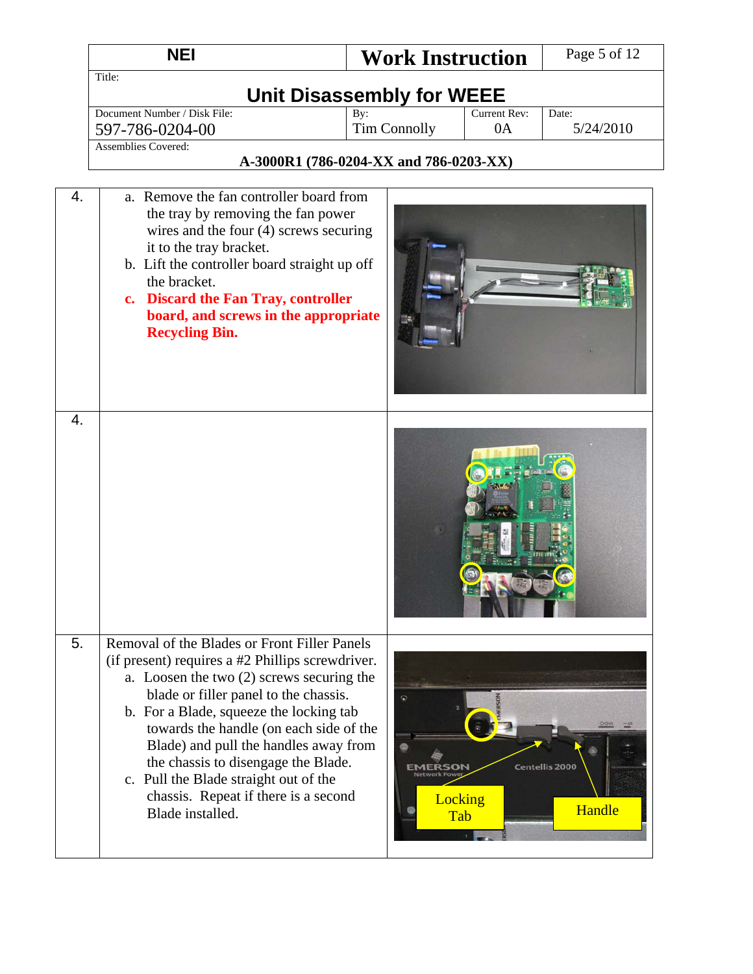|    | <b>NEI</b>                                                                                                                                                                                                                                                                                                                                                                                                                                                        | <b>Work Instruction</b>                |    | Page 5 of 12                    |  |  |
|----|-------------------------------------------------------------------------------------------------------------------------------------------------------------------------------------------------------------------------------------------------------------------------------------------------------------------------------------------------------------------------------------------------------------------------------------------------------------------|----------------------------------------|----|---------------------------------|--|--|
|    | Title:<br><b>Unit Disassembly for WEEE</b>                                                                                                                                                                                                                                                                                                                                                                                                                        |                                        |    |                                 |  |  |
|    | Document Number / Disk File:                                                                                                                                                                                                                                                                                                                                                                                                                                      | Date:                                  |    |                                 |  |  |
|    | 597-786-0204-00<br><b>Assemblies Covered:</b>                                                                                                                                                                                                                                                                                                                                                                                                                     | <b>Tim Connolly</b>                    | 0A | 5/24/2010                       |  |  |
|    |                                                                                                                                                                                                                                                                                                                                                                                                                                                                   | A-3000R1 (786-0204-XX and 786-0203-XX) |    |                                 |  |  |
| 4. | a. Remove the fan controller board from<br>the tray by removing the fan power<br>wires and the four $(4)$ screws securing<br>it to the tray bracket.<br>b. Lift the controller board straight up off<br>the bracket.<br>c. Discard the Fan Tray, controller<br>board, and screws in the appropriate<br><b>Recycling Bin.</b>                                                                                                                                      |                                        |    |                                 |  |  |
| 4. |                                                                                                                                                                                                                                                                                                                                                                                                                                                                   |                                        |    |                                 |  |  |
| 5. | Removal of the Blades or Front Filler Panels<br>(if present) requires a #2 Phillips screwdriver.<br>a. Loosen the two (2) screws securing the<br>blade or filler panel to the chassis.<br>b. For a Blade, squeeze the locking tab<br>towards the handle (on each side of the<br>Blade) and pull the handles away from<br>the chassis to disengage the Blade.<br>c. Pull the Blade straight out of the<br>chassis. Repeat if there is a second<br>Blade installed. | Locking<br>Tab                         |    | <b>Centellis 2000</b><br>Handle |  |  |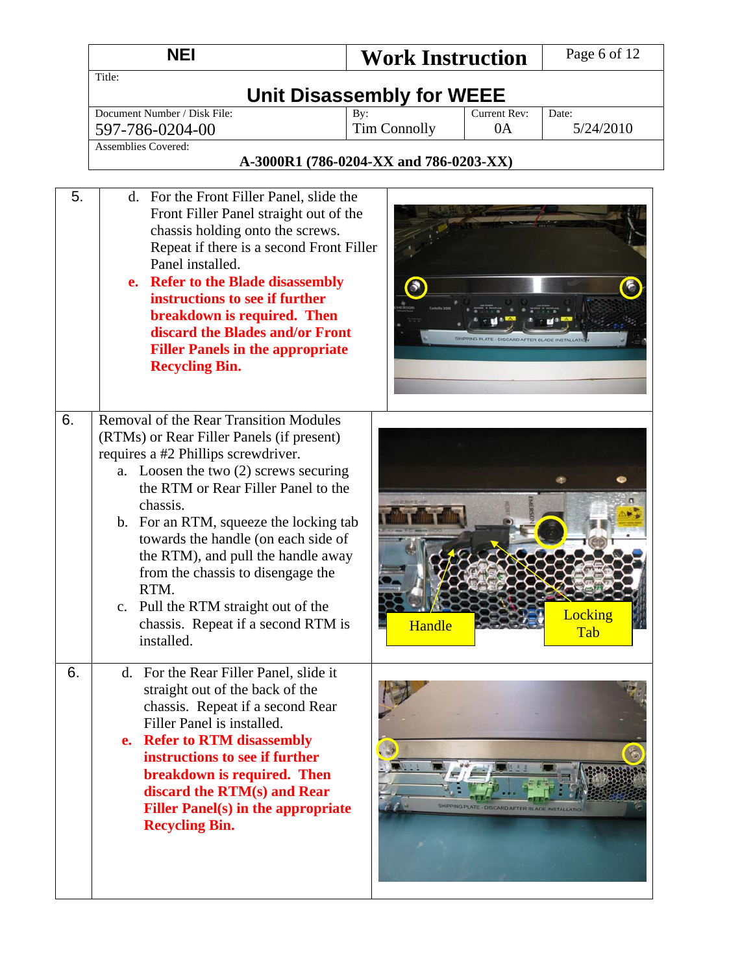|    | <b>NEI</b>                                                                                                                                                                                                                                                                                                                                                                                                                                                                                     | <b>Work Instruction</b>                          | Page 6 of 12       |
|----|------------------------------------------------------------------------------------------------------------------------------------------------------------------------------------------------------------------------------------------------------------------------------------------------------------------------------------------------------------------------------------------------------------------------------------------------------------------------------------------------|--------------------------------------------------|--------------------|
|    | Title:                                                                                                                                                                                                                                                                                                                                                                                                                                                                                         | Unit Disassembly for WEEE                        |                    |
|    | Document Number / Disk File:<br>597-786-0204-00                                                                                                                                                                                                                                                                                                                                                                                                                                                | Current Rev:<br>By:<br><b>Tim Connolly</b><br>0A | Date:<br>5/24/2010 |
|    | Assemblies Covered:                                                                                                                                                                                                                                                                                                                                                                                                                                                                            | A-3000R1 (786-0204-XX and 786-0203-XX)           |                    |
| 5. | d. For the Front Filler Panel, slide the<br>Front Filler Panel straight out of the<br>chassis holding onto the screws.<br>Repeat if there is a second Front Filler<br>Panel installed.<br>e. Refer to the Blade disassembly<br>instructions to see if further<br>breakdown is required. Then<br>discard the Blades and/or Front<br><b>Filler Panels in the appropriate</b><br><b>Recycling Bin.</b>                                                                                            | $\bullet$                                        |                    |
| 6. | <b>Removal of the Rear Transition Modules</b><br>(RTMs) or Rear Filler Panels (if present)<br>requires a #2 Phillips screwdriver.<br>a. Loosen the two $(2)$ screws securing<br>the RTM or Rear Filler Panel to the<br>chassis.<br>b. For an RTM, squeeze the locking tab<br>towards the handle (on each side of<br>the RTM), and pull the handle away<br>from the chassis to disengage the<br>RTM.<br>c. Pull the RTM straight out of the<br>chassis. Repeat if a second RTM is<br>installed. | Handle                                           | Locking<br>Tab     |
| 6. | d. For the Rear Filler Panel, slide it<br>straight out of the back of the<br>chassis. Repeat if a second Rear<br>Filler Panel is installed.<br>e. Refer to RTM disassembly<br>instructions to see if further<br>breakdown is required. Then<br>discard the RTM(s) and Rear<br><b>Filler Panel(s) in the appropriate</b><br><b>Recycling Bin.</b>                                                                                                                                               | HIPPING PLATE - DISCARD AFTER BLADE INSTALLATIO  |                    |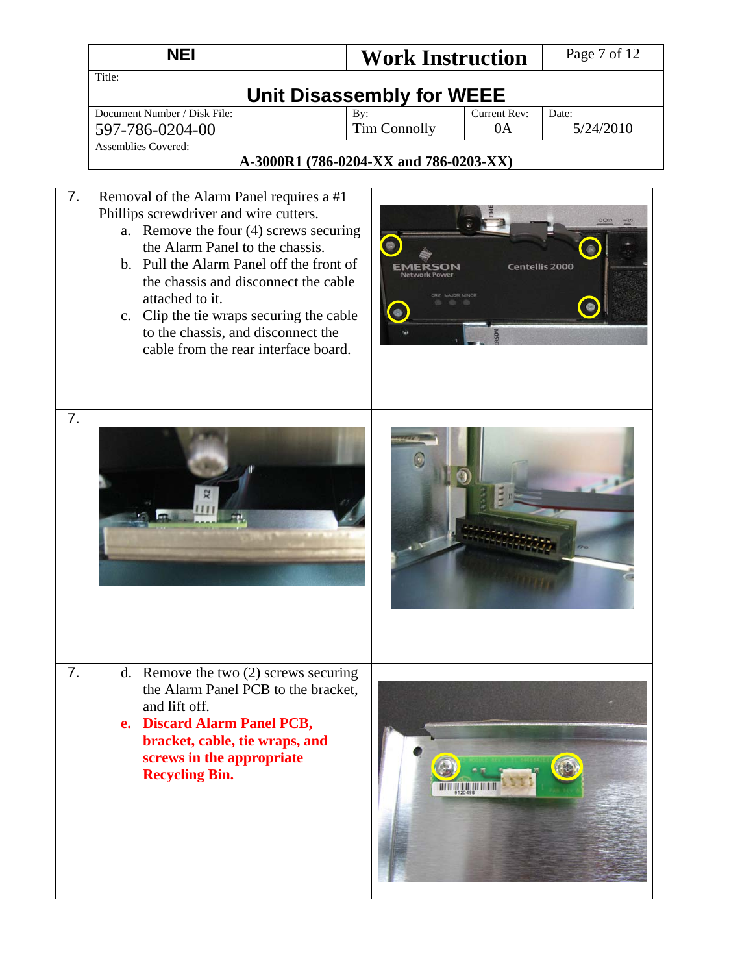|    | <b>NEI</b>                                                                                                                                                                                                                                                                                                                                                                                       | <b>Work Instruction</b>                |                       | Page 7 of 12       |
|----|--------------------------------------------------------------------------------------------------------------------------------------------------------------------------------------------------------------------------------------------------------------------------------------------------------------------------------------------------------------------------------------------------|----------------------------------------|-----------------------|--------------------|
|    | Title:                                                                                                                                                                                                                                                                                                                                                                                           | Unit Disassembly for WEEE              |                       |                    |
|    | Document Number / Disk File:<br>597-786-0204-00                                                                                                                                                                                                                                                                                                                                                  | By:<br><b>Tim Connolly</b>             | Current Rev:<br>0A    | Date:<br>5/24/2010 |
|    | <b>Assemblies Covered:</b>                                                                                                                                                                                                                                                                                                                                                                       |                                        |                       |                    |
|    |                                                                                                                                                                                                                                                                                                                                                                                                  | A-3000R1 (786-0204-XX and 786-0203-XX) |                       |                    |
| 7. | Removal of the Alarm Panel requires a #1<br>Phillips screwdriver and wire cutters.<br>a. Remove the four (4) screws securing<br>the Alarm Panel to the chassis.<br>b. Pull the Alarm Panel off the front of<br>the chassis and disconnect the cable<br>attached to it.<br>c. Clip the tie wraps securing the cable<br>to the chassis, and disconnect the<br>cable from the rear interface board. |                                        | <b>Centellis 2000</b> |                    |
| 7. |                                                                                                                                                                                                                                                                                                                                                                                                  |                                        |                       |                    |
| 7. | d. Remove the two $(2)$ screws securing<br>the Alarm Panel PCB to the bracket,<br>and lift off.<br>e. Discard Alarm Panel PCB,<br>bracket, cable, tie wraps, and<br>screws in the appropriate<br><b>Recycling Bin.</b>                                                                                                                                                                           |                                        |                       |                    |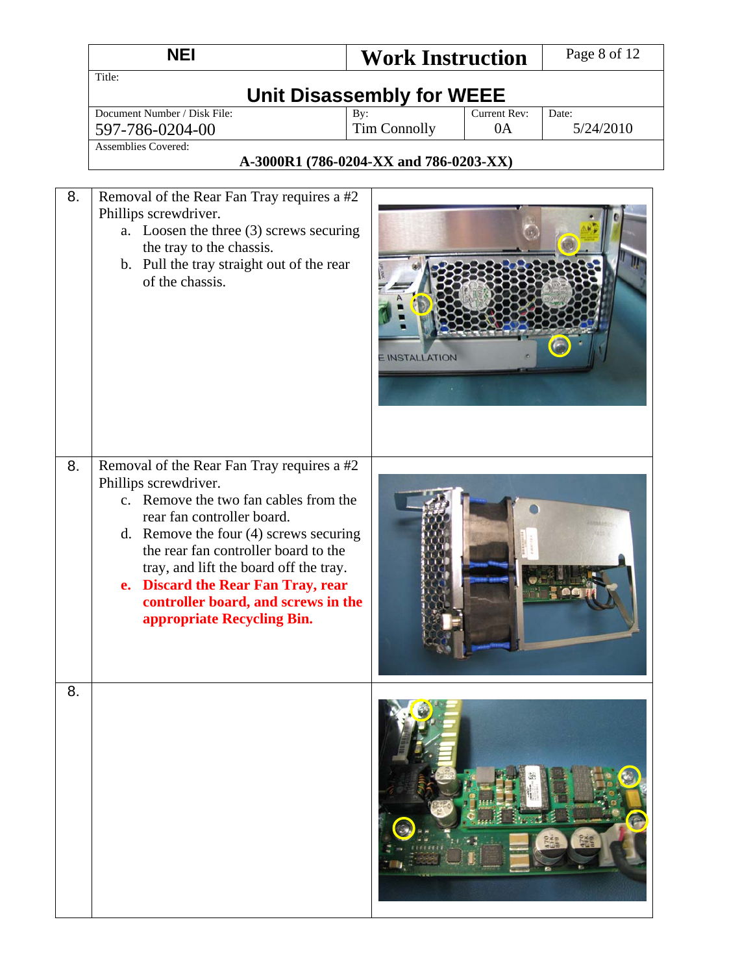|    | <b>NEI</b>                                                                                                                                                                                                                                                                                                                                                                          | <b>Work Instruction</b>                |                    | Page 8 of 12       |  |  |
|----|-------------------------------------------------------------------------------------------------------------------------------------------------------------------------------------------------------------------------------------------------------------------------------------------------------------------------------------------------------------------------------------|----------------------------------------|--------------------|--------------------|--|--|
|    | Title:<br>Unit Disassembly for WEEE                                                                                                                                                                                                                                                                                                                                                 |                                        |                    |                    |  |  |
|    | Document Number / Disk File:<br>597-786-0204-00<br><b>Assemblies Covered:</b>                                                                                                                                                                                                                                                                                                       | By:<br><b>Tim Connolly</b>             | Current Rev:<br>0A | Date:<br>5/24/2010 |  |  |
|    |                                                                                                                                                                                                                                                                                                                                                                                     | A-3000R1 (786-0204-XX and 786-0203-XX) |                    |                    |  |  |
| 8. | Removal of the Rear Fan Tray requires a #2<br>Phillips screwdriver.<br>a. Loosen the three (3) screws securing<br>the tray to the chassis.<br>b. Pull the tray straight out of the rear<br>of the chassis.                                                                                                                                                                          | <b>E INSTALLATION</b>                  |                    |                    |  |  |
| 8. | Removal of the Rear Fan Tray requires a #2<br>Phillips screwdriver.<br>c. Remove the two fan cables from the<br>rear fan controller board.<br>d. Remove the four $(4)$ screws securing<br>the rear fan controller board to the<br>tray, and lift the board off the tray.<br>e. Discard the Rear Fan Tray, rear<br>controller board, and screws in the<br>appropriate Recycling Bin. |                                        |                    |                    |  |  |
| 8. |                                                                                                                                                                                                                                                                                                                                                                                     |                                        |                    |                    |  |  |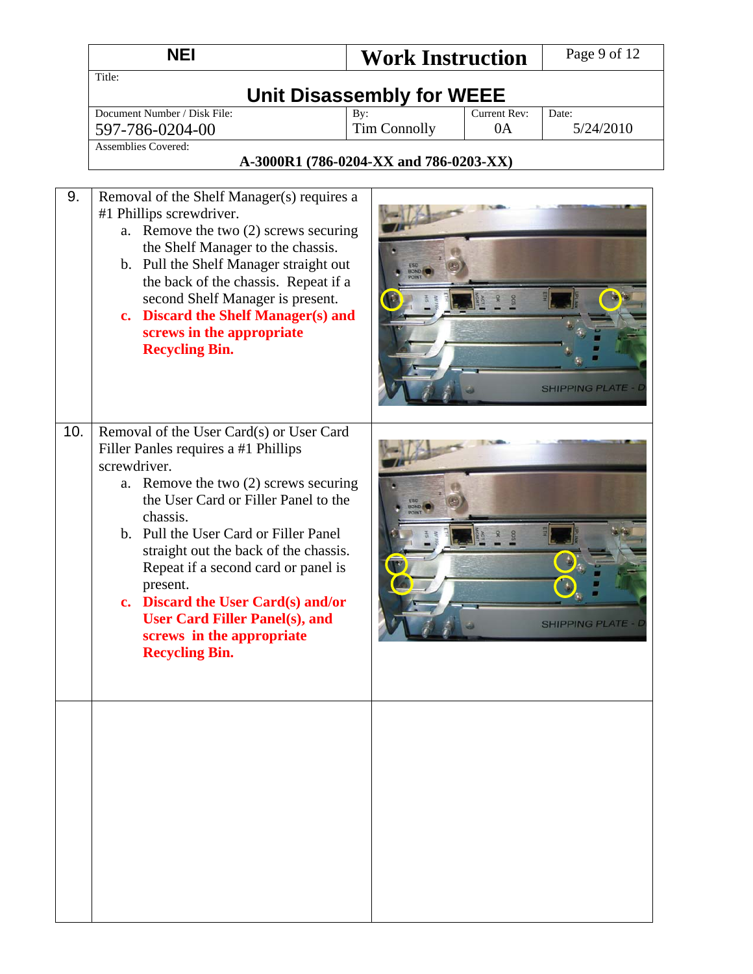|     | <b>NEI</b>                                                                                                                                                                                                                                                                                                                                                                                                                                                                 | <b>Work Instruction</b>                          | Page 9 of 12              |
|-----|----------------------------------------------------------------------------------------------------------------------------------------------------------------------------------------------------------------------------------------------------------------------------------------------------------------------------------------------------------------------------------------------------------------------------------------------------------------------------|--------------------------------------------------|---------------------------|
|     | Title:                                                                                                                                                                                                                                                                                                                                                                                                                                                                     | <b>Unit Disassembly for WEEE</b>                 |                           |
|     | Document Number / Disk File:<br>597-786-0204-00                                                                                                                                                                                                                                                                                                                                                                                                                            | Current Rev:<br>By:<br><b>Tim Connolly</b><br>0A | Date:<br>5/24/2010        |
|     | <b>Assemblies Covered:</b>                                                                                                                                                                                                                                                                                                                                                                                                                                                 | A-3000R1 (786-0204-XX and 786-0203-XX)           |                           |
| 9.  | Removal of the Shelf Manager(s) requires a<br>#1 Phillips screwdriver.<br>a. Remove the two (2) screws securing<br>the Shelf Manager to the chassis.<br>b. Pull the Shelf Manager straight out<br>the back of the chassis. Repeat if a<br>second Shelf Manager is present.<br><b>Discard the Shelf Manager(s) and</b><br>$c_{\bullet}$<br>screws in the appropriate<br><b>Recycling Bin.</b>                                                                               |                                                  | <b>SHIPPING PLATE</b>     |
| 10. | Removal of the User Card(s) or User Card<br>Filler Panles requires a #1 Phillips<br>screwdriver.<br>Remove the two (2) screws securing<br>a.<br>the User Card or Filler Panel to the<br>chassis.<br>b. Pull the User Card or Filler Panel<br>straight out the back of the chassis.<br>Repeat if a second card or panel is<br>present.<br>c. Discard the User Card(s) and/or<br><b>User Card Filler Panel(s), and</b><br>screws in the appropriate<br><b>Recycling Bin.</b> |                                                  | <b>SHIPPING PLATE - L</b> |
|     |                                                                                                                                                                                                                                                                                                                                                                                                                                                                            |                                                  |                           |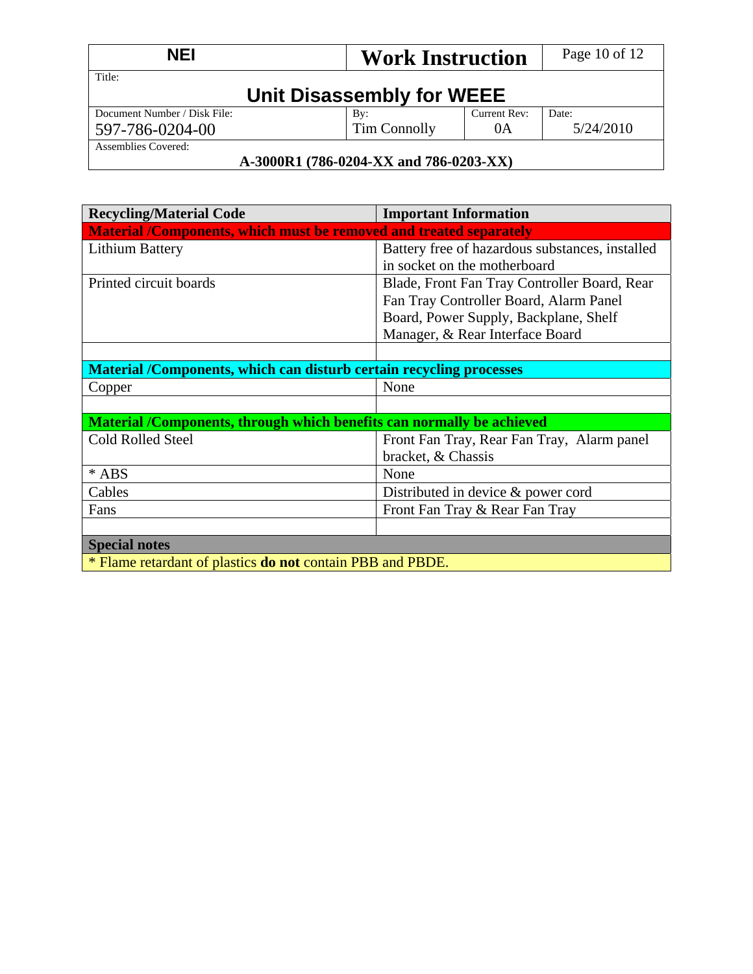| <b>NEI</b>                                                    | <b>Work Instruction</b>          |                    | Page 10 of 12      |  |
|---------------------------------------------------------------|----------------------------------|--------------------|--------------------|--|
| Title:                                                        | <b>Unit Disassembly for WEEE</b> |                    |                    |  |
| Document Number / Disk File:<br>597-786-0204-00               | By:<br>Tim Connolly              | Current Rev:<br>0A | Date:<br>5/24/2010 |  |
| Assemblies Covered:<br>A-3000R1 (786-0204-XX and 786-0203-XX) |                                  |                    |                    |  |

### **A-3000R1 (786-0204-XX and 786-0203-XX)**

| <b>Recycling/Material Code</b>                                            | <b>Important Information</b>                    |  |  |  |  |
|---------------------------------------------------------------------------|-------------------------------------------------|--|--|--|--|
| <b>Material /Components, which must be removed and treated separately</b> |                                                 |  |  |  |  |
| Lithium Battery                                                           | Battery free of hazardous substances, installed |  |  |  |  |
|                                                                           | in socket on the motherboard                    |  |  |  |  |
| Printed circuit boards                                                    | Blade, Front Fan Tray Controller Board, Rear    |  |  |  |  |
|                                                                           | Fan Tray Controller Board, Alarm Panel          |  |  |  |  |
|                                                                           | Board, Power Supply, Backplane, Shelf           |  |  |  |  |
|                                                                           | Manager, & Rear Interface Board                 |  |  |  |  |
|                                                                           |                                                 |  |  |  |  |
| Material /Components, which can disturb certain recycling processes       |                                                 |  |  |  |  |
| Copper                                                                    | None                                            |  |  |  |  |
|                                                                           |                                                 |  |  |  |  |
| Material /Components, through which benefits can normally be achieved     |                                                 |  |  |  |  |
| <b>Cold Rolled Steel</b>                                                  | Front Fan Tray, Rear Fan Tray, Alarm panel      |  |  |  |  |
|                                                                           | bracket, & Chassis                              |  |  |  |  |
| * ABS                                                                     | None                                            |  |  |  |  |
| Cables                                                                    | Distributed in device & power cord              |  |  |  |  |
| Fans                                                                      | Front Fan Tray & Rear Fan Tray                  |  |  |  |  |
|                                                                           |                                                 |  |  |  |  |
| <b>Special notes</b>                                                      |                                                 |  |  |  |  |
| * Flame retardant of plastics <b>do not</b> contain PBB and PBDE.         |                                                 |  |  |  |  |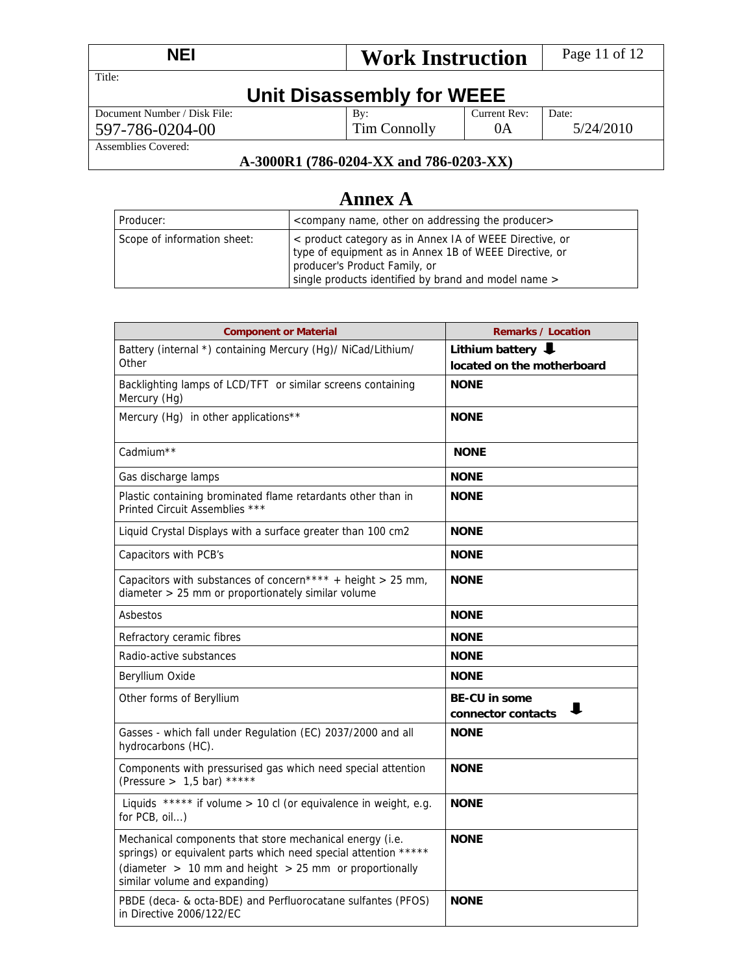| <b>NEI</b><br><b>Work Instruction</b> |                 | Page 11 of 12 |           |  |  |
|---------------------------------------|-----------------|---------------|-----------|--|--|
| Title:                                |                 |               |           |  |  |
| Unit Disassembly for WEEE             |                 |               |           |  |  |
| Document Number / Disk File:          | $\mathbf{B}v$ : | Current Rev:  | Date:     |  |  |
| 597-786-0204-00                       | Tim Connolly    | 0A            | 5/24/2010 |  |  |
| Assemblies Covered:                   |                 |               |           |  |  |

### **A-3000R1 (786-0204-XX and 786-0203-XX)**

# **Annex A**

| l Producer:                 | <company addressing="" name,="" on="" other="" producer="" the=""></company>                                                                                                                               |
|-----------------------------|------------------------------------------------------------------------------------------------------------------------------------------------------------------------------------------------------------|
| Scope of information sheet: | < product category as in Annex IA of WEEE Directive, or<br>type of equipment as in Annex 1B of WEEE Directive, or<br>producer's Product Family, or<br>single products identified by brand and model name > |

| <b>Component or Material</b>                                                                                                                                                                                               | <b>Remarks / Location</b>                       |  |  |
|----------------------------------------------------------------------------------------------------------------------------------------------------------------------------------------------------------------------------|-------------------------------------------------|--|--|
| Battery (internal *) containing Mercury (Hg)/ NiCad/Lithium/<br>Other                                                                                                                                                      | Lithium battery<br>located on the motherboard   |  |  |
| Backlighting lamps of LCD/TFT or similar screens containing<br>Mercury (Hg)                                                                                                                                                | <b>NONE</b>                                     |  |  |
| Mercury (Hg) in other applications**                                                                                                                                                                                       | <b>NONE</b>                                     |  |  |
| Cadmium <sup>**</sup>                                                                                                                                                                                                      | <b>NONE</b>                                     |  |  |
| Gas discharge lamps                                                                                                                                                                                                        | <b>NONE</b>                                     |  |  |
| Plastic containing brominated flame retardants other than in<br>Printed Circuit Assemblies ***                                                                                                                             | <b>NONE</b>                                     |  |  |
| Liquid Crystal Displays with a surface greater than 100 cm2                                                                                                                                                                | <b>NONE</b>                                     |  |  |
| Capacitors with PCB's                                                                                                                                                                                                      | <b>NONE</b>                                     |  |  |
| Capacitors with substances of concern**** + height > 25 mm,<br>diameter > 25 mm or proportionately similar volume                                                                                                          | <b>NONE</b>                                     |  |  |
| Asbestos                                                                                                                                                                                                                   | <b>NONE</b>                                     |  |  |
| Refractory ceramic fibres                                                                                                                                                                                                  | <b>NONE</b>                                     |  |  |
| Radio-active substances                                                                                                                                                                                                    | <b>NONE</b>                                     |  |  |
| Beryllium Oxide                                                                                                                                                                                                            | <b>NONE</b>                                     |  |  |
| Other forms of Beryllium                                                                                                                                                                                                   | <b>BE-CU in some</b><br>ш<br>connector contacts |  |  |
| Gasses - which fall under Regulation (EC) 2037/2000 and all<br>hydrocarbons (HC).                                                                                                                                          | <b>NONE</b>                                     |  |  |
| Components with pressurised gas which need special attention<br>(Pressure > $1,5$ bar) *****                                                                                                                               | <b>NONE</b>                                     |  |  |
| Liquids ***** if volume > 10 cl (or equivalence in weight, e.g.<br>for PCB, oil)                                                                                                                                           | <b>NONE</b>                                     |  |  |
| Mechanical components that store mechanical energy (i.e.<br>springs) or equivalent parts which need special attention *****<br>(diameter $> 10$ mm and height $> 25$ mm or proportionally<br>similar volume and expanding) | <b>NONE</b>                                     |  |  |
| PBDE (deca- & octa-BDE) and Perfluorocatane sulfantes (PFOS)<br>in Directive 2006/122/EC                                                                                                                                   | <b>NONE</b>                                     |  |  |